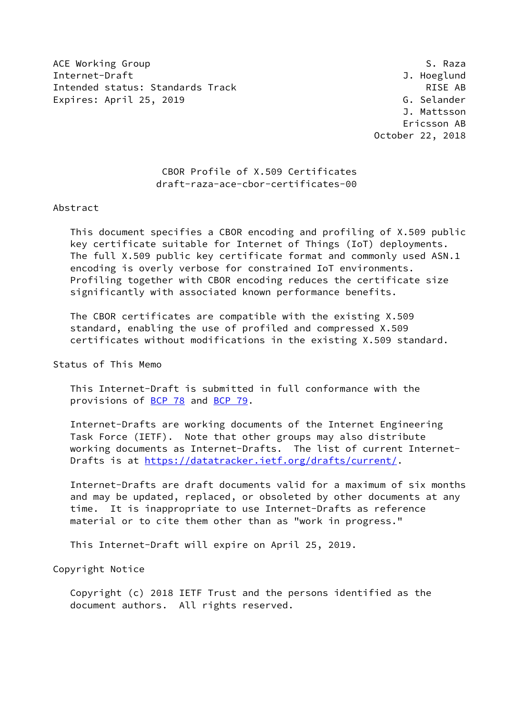ACE Working Group Same Service Services and the Services of Services and Services of Services and Services and Internet-Draft J. Hoeglund Intended status: Standards Track RISE AB Expires: April 25, 2019 Castle and the Contract Contract Contract Contract Contract Contract Contract Contract Contract Contract Contract Contract Contract Contract Contract Contract Contract Contract Contract Contract Con

 J. Mattsson Ericsson AB October 22, 2018

## CBOR Profile of X.509 Certificates draft-raza-ace-cbor-certificates-00

#### Abstract

 This document specifies a CBOR encoding and profiling of X.509 public key certificate suitable for Internet of Things (IoT) deployments. The full X.509 public key certificate format and commonly used ASN.1 encoding is overly verbose for constrained IoT environments. Profiling together with CBOR encoding reduces the certificate size significantly with associated known performance benefits.

 The CBOR certificates are compatible with the existing X.509 standard, enabling the use of profiled and compressed X.509 certificates without modifications in the existing X.509 standard.

Status of This Memo

 This Internet-Draft is submitted in full conformance with the provisions of [BCP 78](https://datatracker.ietf.org/doc/pdf/bcp78) and [BCP 79](https://datatracker.ietf.org/doc/pdf/bcp79).

 Internet-Drafts are working documents of the Internet Engineering Task Force (IETF). Note that other groups may also distribute working documents as Internet-Drafts. The list of current Internet- Drafts is at<https://datatracker.ietf.org/drafts/current/>.

 Internet-Drafts are draft documents valid for a maximum of six months and may be updated, replaced, or obsoleted by other documents at any time. It is inappropriate to use Internet-Drafts as reference material or to cite them other than as "work in progress."

This Internet-Draft will expire on April 25, 2019.

Copyright Notice

 Copyright (c) 2018 IETF Trust and the persons identified as the document authors. All rights reserved.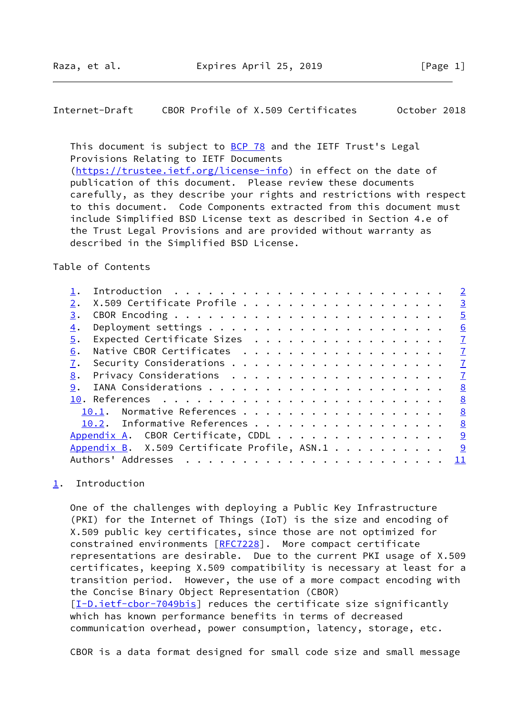## <span id="page-1-1"></span>Internet-Draft CBOR Profile of X.509 Certificates October 2018

This document is subject to [BCP 78](https://datatracker.ietf.org/doc/pdf/bcp78) and the IETF Trust's Legal Provisions Relating to IETF Documents [\(https://trustee.ietf.org/license-info](https://trustee.ietf.org/license-info)) in effect on the date of publication of this document. Please review these documents carefully, as they describe your rights and restrictions with respect to this document. Code Components extracted from this document must include Simplified BSD License text as described in Section 4.e of the Trust Legal Provisions and are provided without warranty as described in the Simplified BSD License.

### Table of Contents

|    |                                              | $\overline{2}$ |
|----|----------------------------------------------|----------------|
|    | X.509 Certificate Profile                    | $\overline{3}$ |
| 3. |                                              | $\overline{5}$ |
| 4. |                                              | 6              |
| 5. | Expected Certificate Sizes                   | $\mathbf I$    |
| 6. |                                              | $\mathbf{I}$   |
| 7. |                                              | $\mathbf{I}$   |
| 8. |                                              | $\mathbf{Z}$   |
| 9. |                                              | 8              |
|    |                                              | <u>8</u>       |
|    | 10.1. Normative References                   | 8              |
|    | 10.2. Informative References                 | 8              |
|    | Appendix A. CBOR Certificate, CDDL           | 9              |
|    | Appendix B. X.509 Certificate Profile, ASN.1 | <u>9</u>       |
|    | Authors' Addresses                           | 11             |
|    |                                              |                |

# <span id="page-1-0"></span>[1](#page-1-0). Introduction

 One of the challenges with deploying a Public Key Infrastructure (PKI) for the Internet of Things (IoT) is the size and encoding of X.509 public key certificates, since those are not optimized for constrained environments [\[RFC7228](https://datatracker.ietf.org/doc/pdf/rfc7228)]. More compact certificate representations are desirable. Due to the current PKI usage of X.509 certificates, keeping X.509 compatibility is necessary at least for a transition period. However, the use of a more compact encoding with the Concise Binary Object Representation (CBOR) [\[I-D.ietf-cbor-7049bis](#page-8-4)] reduces the certificate size significantly which has known performance benefits in terms of decreased communication overhead, power consumption, latency, storage, etc.

CBOR is a data format designed for small code size and small message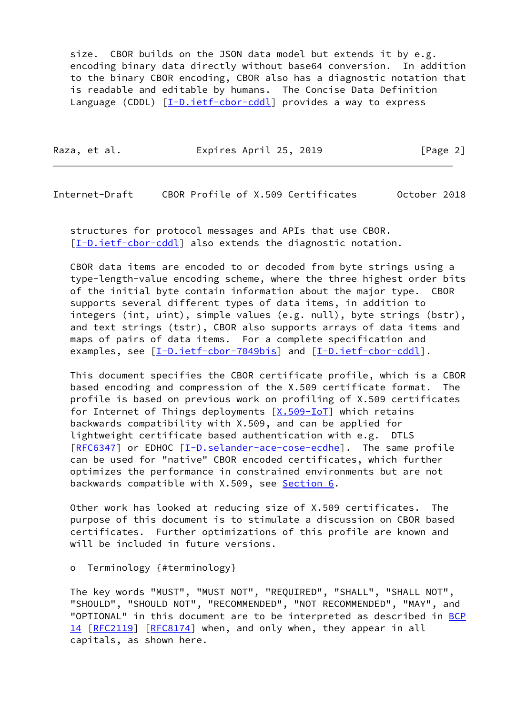size. CBOR builds on the JSON data model but extends it by e.g. encoding binary data directly without base64 conversion. In addition to the binary CBOR encoding, CBOR also has a diagnostic notation that is readable and editable by humans. The Concise Data Definition Language (CDDL)  $[I-D.iet f-coor-cdd]$  provides a way to express

| Raza, et al. | Expires April 25, 2019 | [Page 2] |
|--------------|------------------------|----------|
|              |                        |          |

<span id="page-2-0"></span>Internet-Draft CBOR Profile of X.509 Certificates October 2018

 structures for protocol messages and APIs that use CBOR. [\[I-D.ietf-cbor-cddl\]](#page-8-5) also extends the diagnostic notation.

 CBOR data items are encoded to or decoded from byte strings using a type-length-value encoding scheme, where the three highest order bits of the initial byte contain information about the major type. CBOR supports several different types of data items, in addition to integers (int, uint), simple values (e.g. null), byte strings (bstr), and text strings (tstr), CBOR also supports arrays of data items and maps of pairs of data items. For a complete specification and examples, see  $[I-D.iett-cbor-7049bis]$  and  $[I-D.iett-cbor-cdd]$ .

 This document specifies the CBOR certificate profile, which is a CBOR based encoding and compression of the X.509 certificate format. The profile is based on previous work on profiling of X.509 certificates for Internet of Things deployments  $[X.509 - IoT]$  which retains backwards compatibility with X.509, and can be applied for lightweight certificate based authentication with e.g. DTLS [\[RFC6347](https://datatracker.ietf.org/doc/pdf/rfc6347)] or EDHOC [[I-D.selander-ace-cose-ecdhe\]](#page-8-6). The same profile can be used for "native" CBOR encoded certificates, which further optimizes the performance in constrained environments but are not backwards compatible with X.509, see [Section 6](#page-7-0).

 Other work has looked at reducing size of X.509 certificates. The purpose of this document is to stimulate a discussion on CBOR based certificates. Further optimizations of this profile are known and will be included in future versions.

### o Terminology {#terminology}

 The key words "MUST", "MUST NOT", "REQUIRED", "SHALL", "SHALL NOT", "SHOULD", "SHOULD NOT", "RECOMMENDED", "NOT RECOMMENDED", "MAY", and "OPTIONAL" in this document are to be interpreted as described in [BCP](https://datatracker.ietf.org/doc/pdf/bcp14) [14](https://datatracker.ietf.org/doc/pdf/bcp14) [[RFC2119\]](https://datatracker.ietf.org/doc/pdf/rfc2119) [\[RFC8174](https://datatracker.ietf.org/doc/pdf/rfc8174)] when, and only when, they appear in all capitals, as shown here.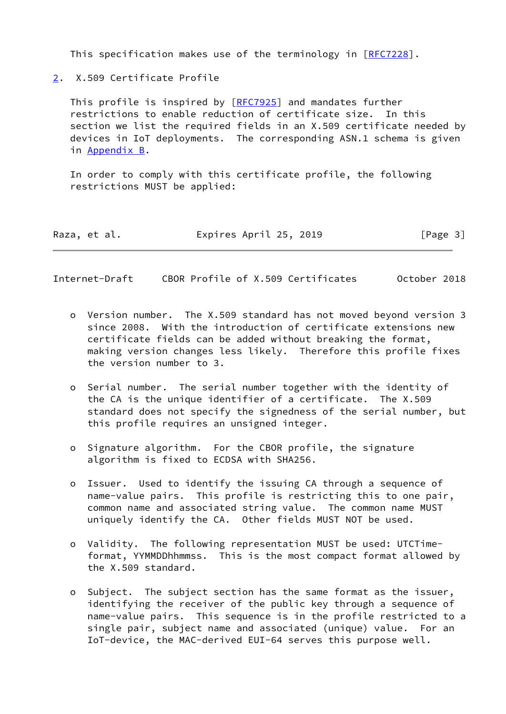This specification makes use of the terminology in [[RFC7228\]](https://datatracker.ietf.org/doc/pdf/rfc7228).

<span id="page-3-0"></span>[2](#page-3-0). X.509 Certificate Profile

 This profile is inspired by [\[RFC7925](https://datatracker.ietf.org/doc/pdf/rfc7925)] and mandates further restrictions to enable reduction of certificate size. In this section we list the required fields in an X.509 certificate needed by devices in IoT deployments. The corresponding ASN.1 schema is given in [Appendix B.](#page-9-2)

 In order to comply with this certificate profile, the following restrictions MUST be applied:

| Raza, et al. | Expires April 25, 2019 | [Page 3] |
|--------------|------------------------|----------|
|--------------|------------------------|----------|

Internet-Draft CBOR Profile of X.509 Certificates October 2018

- o Version number. The X.509 standard has not moved beyond version 3 since 2008. With the introduction of certificate extensions new certificate fields can be added without breaking the format, making version changes less likely. Therefore this profile fixes the version number to 3.
- o Serial number. The serial number together with the identity of the CA is the unique identifier of a certificate. The X.509 standard does not specify the signedness of the serial number, but this profile requires an unsigned integer.
- o Signature algorithm. For the CBOR profile, the signature algorithm is fixed to ECDSA with SHA256.
- o Issuer. Used to identify the issuing CA through a sequence of name-value pairs. This profile is restricting this to one pair, common name and associated string value. The common name MUST uniquely identify the CA. Other fields MUST NOT be used.
- o Validity. The following representation MUST be used: UTCTime format, YYMMDDhhmmss. This is the most compact format allowed by the X.509 standard.
- o Subject. The subject section has the same format as the issuer, identifying the receiver of the public key through a sequence of name-value pairs. This sequence is in the profile restricted to a single pair, subject name and associated (unique) value. For an IoT-device, the MAC-derived EUI-64 serves this purpose well.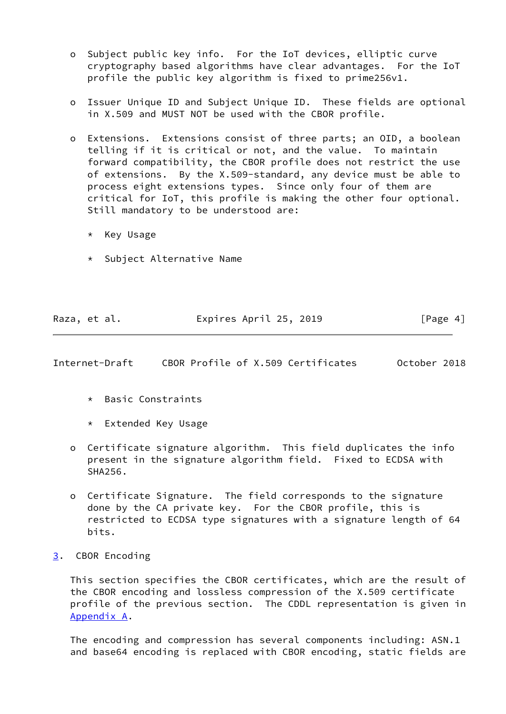- o Subject public key info. For the IoT devices, elliptic curve cryptography based algorithms have clear advantages. For the IoT profile the public key algorithm is fixed to prime256v1.
- o Issuer Unique ID and Subject Unique ID. These fields are optional in X.509 and MUST NOT be used with the CBOR profile.
- o Extensions. Extensions consist of three parts; an OID, a boolean telling if it is critical or not, and the value. To maintain forward compatibility, the CBOR profile does not restrict the use of extensions. By the X.509-standard, any device must be able to process eight extensions types. Since only four of them are critical for IoT, this profile is making the other four optional. Still mandatory to be understood are:
	- \* Key Usage
	- \* Subject Alternative Name

| Raza, et al. | Expires April 25, 2019 | [Page 4] |
|--------------|------------------------|----------|

<span id="page-4-1"></span>Internet-Draft CBOR Profile of X.509 Certificates October 2018

- \* Basic Constraints
- \* Extended Key Usage
- o Certificate signature algorithm. This field duplicates the info present in the signature algorithm field. Fixed to ECDSA with SHA256.
- o Certificate Signature. The field corresponds to the signature done by the CA private key. For the CBOR profile, this is restricted to ECDSA type signatures with a signature length of 64 bits.
- <span id="page-4-0"></span>[3](#page-4-0). CBOR Encoding

 This section specifies the CBOR certificates, which are the result of the CBOR encoding and lossless compression of the X.509 certificate profile of the previous section. The CDDL representation is given in [Appendix A](#page-9-0).

 The encoding and compression has several components including: ASN.1 and base64 encoding is replaced with CBOR encoding, static fields are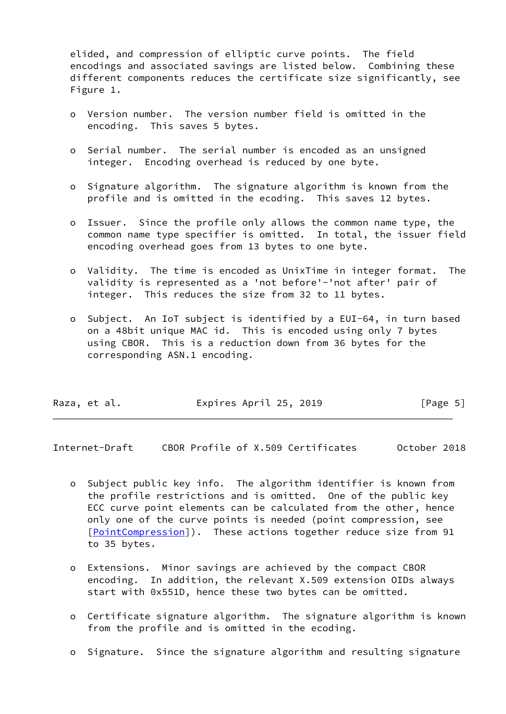elided, and compression of elliptic curve points. The field encodings and associated savings are listed below. Combining these different components reduces the certificate size significantly, see Figure 1.

- o Version number. The version number field is omitted in the encoding. This saves 5 bytes.
- o Serial number. The serial number is encoded as an unsigned integer. Encoding overhead is reduced by one byte.
- o Signature algorithm. The signature algorithm is known from the profile and is omitted in the ecoding. This saves 12 bytes.
- o Issuer. Since the profile only allows the common name type, the common name type specifier is omitted. In total, the issuer field encoding overhead goes from 13 bytes to one byte.
- o Validity. The time is encoded as UnixTime in integer format. The validity is represented as a 'not before'-'not after' pair of integer. This reduces the size from 32 to 11 bytes.
- o Subject. An IoT subject is identified by a EUI-64, in turn based on a 48bit unique MAC id. This is encoded using only 7 bytes using CBOR. This is a reduction down from 36 bytes for the corresponding ASN.1 encoding.

| Raza, et al. | Expires April 25, 2019 | [Page 5] |
|--------------|------------------------|----------|
|              |                        |          |

<span id="page-5-0"></span>Internet-Draft CBOR Profile of X.509 Certificates October 2018

- o Subject public key info. The algorithm identifier is known from the profile restrictions and is omitted. One of the public key ECC curve point elements can be calculated from the other, hence only one of the curve points is needed (point compression, see [[PointCompression\]](#page-8-7)). These actions together reduce size from 91 to 35 bytes.
- o Extensions. Minor savings are achieved by the compact CBOR encoding. In addition, the relevant X.509 extension OIDs always start with 0x551D, hence these two bytes can be omitted.
- o Certificate signature algorithm. The signature algorithm is known from the profile and is omitted in the ecoding.
- o Signature. Since the signature algorithm and resulting signature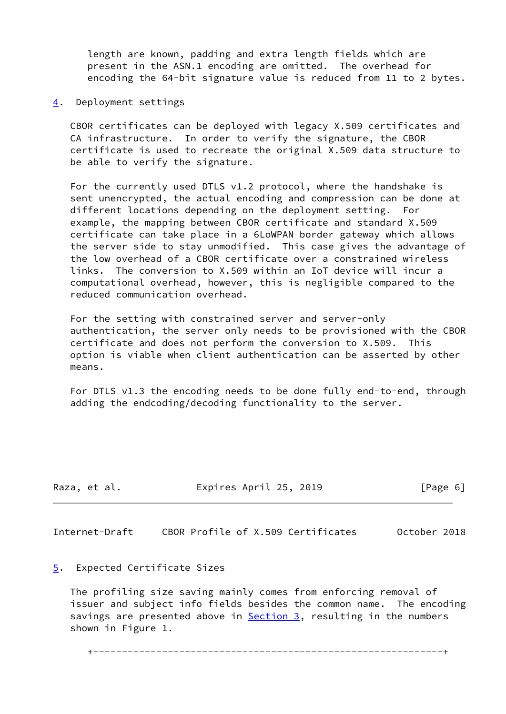length are known, padding and extra length fields which are present in the ASN.1 encoding are omitted. The overhead for encoding the 64-bit signature value is reduced from 11 to 2 bytes.

<span id="page-6-0"></span>[4](#page-6-0). Deployment settings

 CBOR certificates can be deployed with legacy X.509 certificates and CA infrastructure. In order to verify the signature, the CBOR certificate is used to recreate the original X.509 data structure to be able to verify the signature.

 For the currently used DTLS v1.2 protocol, where the handshake is sent unencrypted, the actual encoding and compression can be done at different locations depending on the deployment setting. For example, the mapping between CBOR certificate and standard X.509 certificate can take place in a 6LoWPAN border gateway which allows the server side to stay unmodified. This case gives the advantage of the low overhead of a CBOR certificate over a constrained wireless links. The conversion to X.509 within an IoT device will incur a computational overhead, however, this is negligible compared to the reduced communication overhead.

 For the setting with constrained server and server-only authentication, the server only needs to be provisioned with the CBOR certificate and does not perform the conversion to X.509. This option is viable when client authentication can be asserted by other means.

 For DTLS v1.3 the encoding needs to be done fully end-to-end, through adding the endcoding/decoding functionality to the server.

| Raza, et al. | Expires April 25, 2019 | [Page 6] |
|--------------|------------------------|----------|
|              |                        |          |

<span id="page-6-2"></span>Internet-Draft CBOR Profile of X.509 Certificates October 2018

## <span id="page-6-1"></span>[5](#page-6-1). Expected Certificate Sizes

 The profiling size saving mainly comes from enforcing removal of issuer and subject info fields besides the common name. The encoding savings are presented above in **Section 3**, resulting in the numbers shown in Figure 1.

+-------------------------------------------------------------+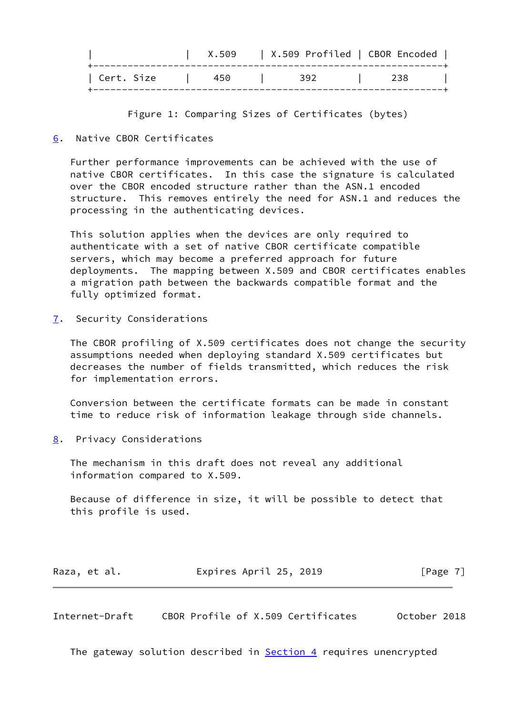|              | X.509 | X.509 Profiled   CBOR Encoded |     |
|--------------|-------|-------------------------------|-----|
| ' Cert. Size | 450   | 392                           | 238 |

Figure 1: Comparing Sizes of Certificates (bytes)

<span id="page-7-0"></span>[6](#page-7-0). Native CBOR Certificates

 Further performance improvements can be achieved with the use of native CBOR certificates. In this case the signature is calculated over the CBOR encoded structure rather than the ASN.1 encoded structure. This removes entirely the need for ASN.1 and reduces the processing in the authenticating devices.

 This solution applies when the devices are only required to authenticate with a set of native CBOR certificate compatible servers, which may become a preferred approach for future deployments. The mapping between X.509 and CBOR certificates enables a migration path between the backwards compatible format and the fully optimized format.

<span id="page-7-1"></span>[7](#page-7-1). Security Considerations

 The CBOR profiling of X.509 certificates does not change the security assumptions needed when deploying standard X.509 certificates but decreases the number of fields transmitted, which reduces the risk for implementation errors.

 Conversion between the certificate formats can be made in constant time to reduce risk of information leakage through side channels.

<span id="page-7-2"></span>[8](#page-7-2). Privacy Considerations

 The mechanism in this draft does not reveal any additional information compared to X.509.

 Because of difference in size, it will be possible to detect that this profile is used.

|  |  | Raza, et al. | Expires April 25, 2019 |  | [Page 7] |
|--|--|--------------|------------------------|--|----------|
|--|--|--------------|------------------------|--|----------|

<span id="page-7-3"></span>Internet-Draft CBOR Profile of X.509 Certificates October 2018

The gateway solution described in **Section 4** requires unencrypted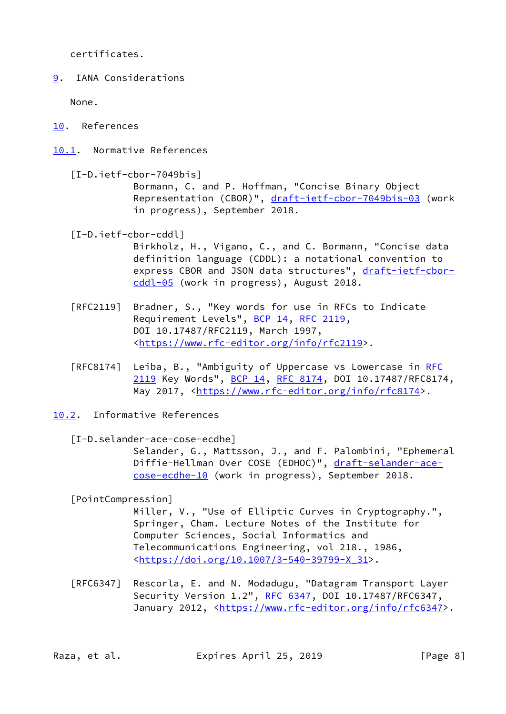certificates.

<span id="page-8-0"></span>[9](#page-8-0). IANA Considerations

None.

- <span id="page-8-1"></span>[10.](#page-8-1) References
- <span id="page-8-4"></span><span id="page-8-2"></span>[10.1](#page-8-2). Normative References
	- [I-D.ietf-cbor-7049bis] Bormann, C. and P. Hoffman, "Concise Binary Object Representation (CBOR)", [draft-ietf-cbor-7049bis-03](https://datatracker.ietf.org/doc/pdf/draft-ietf-cbor-7049bis-03) (work in progress), September 2018.

<span id="page-8-5"></span>[I-D.ietf-cbor-cddl]

 Birkholz, H., Vigano, C., and C. Bormann, "Concise data definition language (CDDL): a notational convention to express CBOR and JSON data structures", [draft-ietf-cbor](https://datatracker.ietf.org/doc/pdf/draft-ietf-cbor-cddl-05) [cddl-05](https://datatracker.ietf.org/doc/pdf/draft-ietf-cbor-cddl-05) (work in progress), August 2018.

- [RFC2119] Bradner, S., "Key words for use in RFCs to Indicate Requirement Levels", [BCP 14](https://datatracker.ietf.org/doc/pdf/bcp14), [RFC 2119](https://datatracker.ietf.org/doc/pdf/rfc2119), DOI 10.17487/RFC2119, March 1997, <[https://www.rfc-editor.org/info/rfc2119>](https://www.rfc-editor.org/info/rfc2119).
- [RFC8174] Leiba, B., "Ambiguity of Uppercase vs Lowercase in [RFC](https://datatracker.ietf.org/doc/pdf/rfc2119) [2119](https://datatracker.ietf.org/doc/pdf/rfc2119) Key Words", [BCP 14](https://datatracker.ietf.org/doc/pdf/bcp14), [RFC 8174,](https://datatracker.ietf.org/doc/pdf/rfc8174) DOI 10.17487/RFC8174, May 2017, [<https://www.rfc-editor.org/info/rfc8174](https://www.rfc-editor.org/info/rfc8174)>.
- <span id="page-8-3"></span>[10.2](#page-8-3). Informative References

<span id="page-8-6"></span>[I-D.selander-ace-cose-ecdhe]

 Selander, G., Mattsson, J., and F. Palombini, "Ephemeral Diffie-Hellman Over COSE (EDHOC)", [draft-selander-ace](https://datatracker.ietf.org/doc/pdf/draft-selander-ace-cose-ecdhe-10) [cose-ecdhe-10](https://datatracker.ietf.org/doc/pdf/draft-selander-ace-cose-ecdhe-10) (work in progress), September 2018.

<span id="page-8-7"></span>[PointCompression]

 Miller, V., "Use of Elliptic Curves in Cryptography.", Springer, Cham. Lecture Notes of the Institute for Computer Sciences, Social Informatics and Telecommunications Engineering, vol 218., 1986, <[https://doi.org/10.1007/3-540-39799-X\\_31>](https://doi.org/10.1007/3-540-39799-X_31).

 [RFC6347] Rescorla, E. and N. Modadugu, "Datagram Transport Layer Security Version 1.2", [RFC 6347](https://datatracker.ietf.org/doc/pdf/rfc6347), DOI 10.17487/RFC6347, January 2012, [<https://www.rfc-editor.org/info/rfc6347](https://www.rfc-editor.org/info/rfc6347)>.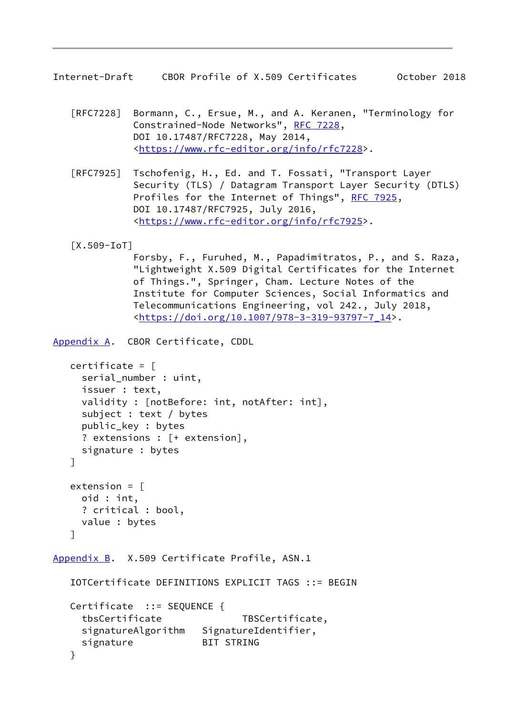<span id="page-9-1"></span>Internet-Draft CBOR Profile of X.509 Certificates October 2018

- [RFC7228] Bormann, C., Ersue, M., and A. Keranen, "Terminology for Constrained-Node Networks", [RFC 7228,](https://datatracker.ietf.org/doc/pdf/rfc7228) DOI 10.17487/RFC7228, May 2014, <[https://www.rfc-editor.org/info/rfc7228>](https://www.rfc-editor.org/info/rfc7228).
- [RFC7925] Tschofenig, H., Ed. and T. Fossati, "Transport Layer Security (TLS) / Datagram Transport Layer Security (DTLS) Profiles for the Internet of Things", [RFC 7925](https://datatracker.ietf.org/doc/pdf/rfc7925), DOI 10.17487/RFC7925, July 2016, <[https://www.rfc-editor.org/info/rfc7925>](https://www.rfc-editor.org/info/rfc7925).

<span id="page-9-3"></span>[X.509-IoT]

 Forsby, F., Furuhed, M., Papadimitratos, P., and S. Raza, "Lightweight X.509 Digital Certificates for the Internet of Things.", Springer, Cham. Lecture Notes of the Institute for Computer Sciences, Social Informatics and Telecommunications Engineering, vol 242., July 2018, <[https://doi.org/10.1007/978-3-319-93797-7\\_14>](https://doi.org/10.1007/978-3-319-93797-7_14).

<span id="page-9-0"></span>[Appendix A.](#page-9-0) CBOR Certificate, CDDL

```
 certificate = [
   serial_number : uint,
   issuer : text,
   validity : [notBefore: int, notAfter: int],
   subject : text / bytes
   public_key : bytes
   ? extensions : [+ extension],
   signature : bytes
 ]
extension = \lceil oid : int,
   ? critical : bool,
   value : bytes
 ]
```
<span id="page-9-2"></span>[Appendix B.](#page-9-2) X.509 Certificate Profile, ASN.1

```
 IOTCertificate DEFINITIONS EXPLICIT TAGS ::= BEGIN
 Certificate ::= SEQUENCE {
  tbsCertificate TBSCertificate,
 signatureAlgorithm SignatureIdentifier,
 signature BIT STRING
 }
```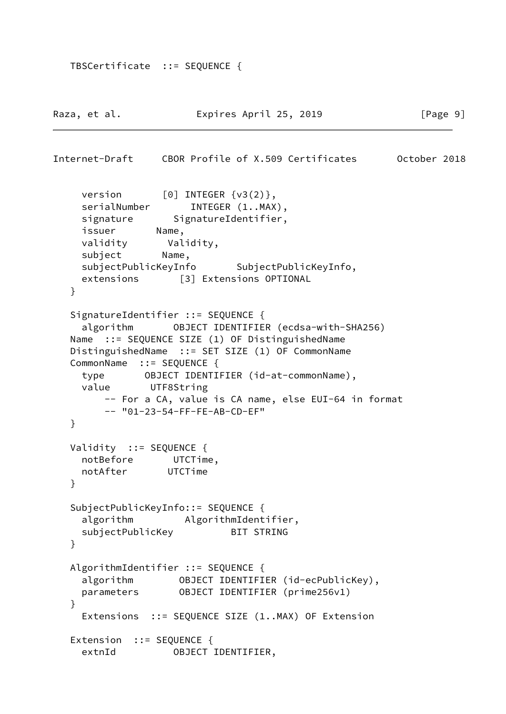```
 TBSCertificate ::= SEQUENCE {
```

```
Raza, et al.                 Expires April 25, 2019                 [Page 9]
Internet-Draft CBOR Profile of X.509 Certificates October 2018
    version [0] INTEGER {v3(2)},
    serialNumber INTEGER (1..MAX),
    signature SignatureIdentifier,
     issuer Name,
     validity Validity,
     subject Name,
     subjectPublicKeyInfo SubjectPublicKeyInfo,
     extensions [3] Extensions OPTIONAL
   }
   SignatureIdentifier ::= SEQUENCE {
     algorithm OBJECT IDENTIFIER (ecdsa-with-SHA256)
   Name ::= SEQUENCE SIZE (1) OF DistinguishedName
   DistinguishedName ::= SET SIZE (1) OF CommonName
   CommonName ::= SEQUENCE {
     type OBJECT IDENTIFIER (id-at-commonName),
     value UTF8String
         -- For a CA, value is CA name, else EUI-64 in format
         -- "01-23-54-FF-FE-AB-CD-EF"
   }
  Validity ::= SEQUENCE {
     notBefore UTCTime,
     notAfter UTCTime
   }
   SubjectPublicKeyInfo::= SEQUENCE {
     algorithm AlgorithmIdentifier,
    subjectPublicKey BIT STRING
   }
   AlgorithmIdentifier ::= SEQUENCE {
    algorithm OBJECT IDENTIFIER (id-ecPublicKey),
     parameters OBJECT IDENTIFIER (prime256v1)
   }
     Extensions ::= SEQUENCE SIZE (1..MAX) OF Extension
  Extension ::= SEQUENCE {
     extnId OBJECT IDENTIFIER,
```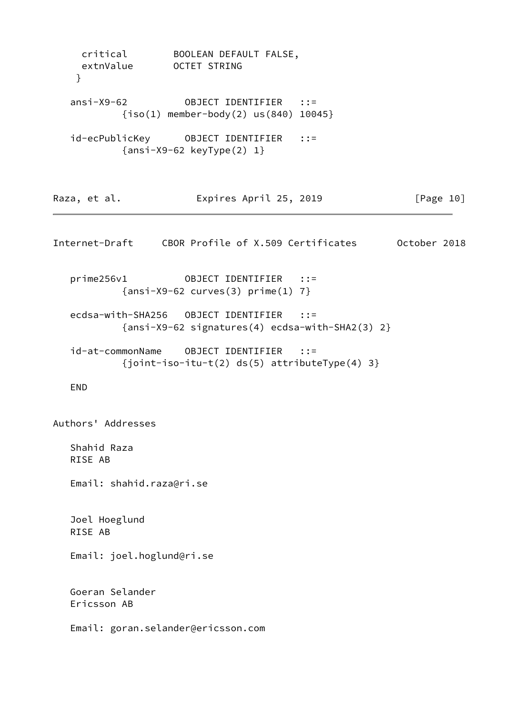<span id="page-11-0"></span>

| }                              | critical BOOLEAN DEFAULT FALSE,<br>extnValue OCTET STRING      |                                                                   |           |
|--------------------------------|----------------------------------------------------------------|-------------------------------------------------------------------|-----------|
|                                | $\{iso(1)$ member-body(2) us(840) 10045}                       |                                                                   |           |
|                                | ${\{ansi-X9-62 \; keyType(2) \; 1\}}$                          |                                                                   |           |
| Raza, et al.                   | Expires April 25, 2019                                         |                                                                   | [Page 10] |
|                                |                                                                | Internet-Draft CBOR Profile of X.509 Certificates 0ctober 2018    |           |
| prime256v1                     | OBJECT IDENTIFIER ::=<br>$\{ansi-X9-62 curves(3) prime(1) 7\}$ |                                                                   |           |
|                                |                                                                | ${\{ansi-X9-G2 \sigma1gnatures(4) \ecdsa-with-SHA2(3) 2\}}$       |           |
| id-at-commonName               | OBJECT IDENTIFIER                                              | $\cdots$ : : =<br>{joint-iso-itu-t(2) $ds(5)$ attributeType(4) 3} |           |
| <b>END</b>                     |                                                                |                                                                   |           |
| Authors' Addresses             |                                                                |                                                                   |           |
| Shahid Raza<br>RISE AB         |                                                                |                                                                   |           |
| Email: shahid.raza@ri.se       |                                                                |                                                                   |           |
| Joel Hoeglund<br>RISE AB       |                                                                |                                                                   |           |
| Email: joel.hoglund@ri.se      |                                                                |                                                                   |           |
| Goeran Selander<br>Ericsson AB |                                                                |                                                                   |           |
|                                | Email: goran.selander@ericsson.com                             |                                                                   |           |